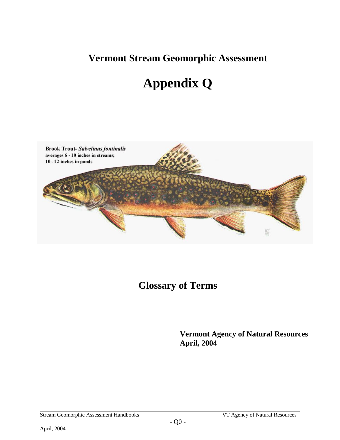**Vermont Stream Geomorphic Assessment** 

# **Appendix Q**



# **Glossary of Terms**

**Vermont Agency of Natural Resources April, 2004**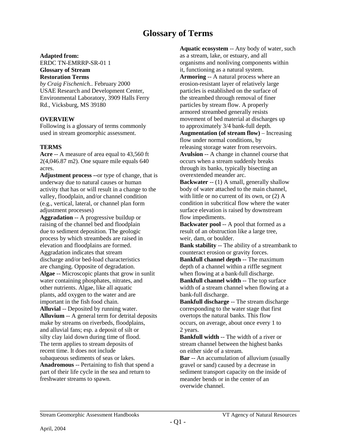## **Glossary of Terms**

#### **Adapted from:**

ERDC TN-EMRRP-SR-01 1 **Glossary of Stream Restoration Terms**

*by Craig Fischenich..* February 2000 USAE Research and Development Center, Environmental Laboratory, 3909 Halls Ferry Rd., Vicksburg, MS 39180

## **OVERVIEW**

Following is a glossary of terms commonly used in stream geomorphic assessment.

## **TERMS**

**Acre** -- A measure of area equal to 43,560 ft 2(4,046.87 m2). One square mile equals 640 acres.

**Adjustment process --**or type of change, that is underway due to natural causes or human activity that has or will result in a change to the valley, floodplain, and/or channel condition (e.g., vertical, lateral, or channel plan form adjustment processes)

**Aggradation** -- A progressive buildup or raising of the channel bed and floodplain due to sediment deposition. The geologic process by which streambeds are raised in elevation and floodplains are formed. Aggradation indicates that stream discharge and/or bed-load characteristics are changing. Opposite of degradation. **Algae** -- Microscopic plants that grow in sunlit water containing phosphates, nitrates, and other nutrients. Algae, like all aquatic plants, add oxygen to the water and are important in the fish food chain. **Alluvial** -- Deposited by running water. **Alluvium** -- A general term for detrital deposits make by streams on riverbeds, floodplains, and alluvial fans; esp. a deposit of silt or silty clay laid down during time of flood. The term applies to stream deposits of recent time. It does not include subaqueous sediments of seas or lakes. **Anadromous** -- Pertaining to fish that spend a

part of their life cycle in the sea and return to freshwater streams to spawn.

**Aquatic ecosystem** -- Any body of water, such as a stream, lake, or estuary, and all organisms and nonliving components within it, functioning as a natural system. **Armoring** -- A natural process where an erosion-resistant layer of relatively large particles is established on the surface of the streambed through removal of finer particles by stream flow. A properly armored streambed generally resists movement of bed material at discharges up to approximately 3/4 bank-full depth. **Augmentation (of stream flow)** – Increasing flow under normal conditions, by releasing storage water from reservoirs. **Avulsion** -- A change in channel course that occurs when a stream suddenly breaks through its banks, typically bisecting an overextended meander arc.

**Backwater** -- (1) A small, generally shallow body of water attached to the main channel, with little or no current of its own, or  $(2)$  A condition in subcritical flow where the water surface elevation is raised by downstream flow impediments.

**Backwater pool --** A pool that formed as a result of an obstruction like a large tree, weir, dam, or boulder.

**Bank stability** -- The ability of a streambank to counteract erosion or gravity forces.

**Bankfull channel depth** -- The maximum depth of a channel within a riffle segment when flowing at a bank-full discharge. **Bankfull channel width** -- The top surface width of a stream channel when flowing at a bank-full discharge.

**Bankfull discharge** -- The stream discharge corresponding to the water stage that first overtops the natural banks. This flow occurs, on average, about once every 1 to 2 years.

**Bankfull width** -- The width of a river or stream channel between the highest banks on either side of a stream.

**Bar** -- An accumulation of alluvium (usually gravel or sand) caused by a decrease in sediment transport capacity on the inside of meander bends or in the center of an overwide channel.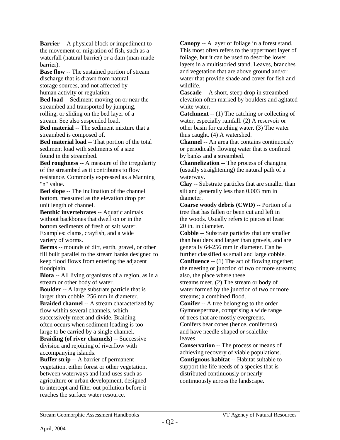**Barrier** -- A physical block or impediment to the movement or migration of fish, such as a waterfall (natural barrier) or a dam (man-made barrier).

**Base flow** -- The sustained portion of stream discharge that is drawn from natural storage sources, and not affected by human activity or regulation.

**Bed load** -- Sediment moving on or near the streambed and transported by jumping, rolling, or sliding on the bed layer of a stream. See also suspended load.

**Bed material** -- The sediment mixture that a streambed is composed of.

**Bed material load** -- That portion of the total sediment load with sediments of a size found in the streambed.

**Bed roughness** -- A measure of the irregularity of the streambed as it contributes to flow resistance. Commonly expressed as a Manning "n" value.

**Bed slope** -- The inclination of the channel bottom, measured as the elevation drop per unit length of channel.

**Benthic invertebrates** -- Aquatic animals without backbones that dwell on or in the bottom sediments of fresh or salt water. Examples: clams, crayfish, and a wide variety of worms.

**Berms** -- mounds of dirt, earth, gravel, or other fill built parallel to the stream banks designed to keep flood flows from entering the adjacent floodplain.

**Biota** -- All living organisms of a region, as in a stream or other body of water.

**Boulder** -- A large substrate particle that is larger than cobble, 256 mm in diameter.

**Braided channel** -- A stream characterized by flow within several channels, which successively meet and divide. Braiding often occurs when sediment loading is too large to be carried by a single channel.

**Braiding (of river channels)** -- Successive division and rejoining of riverflow with accompanying islands.

**Buffer strip** -- A barrier of permanent vegetation, either forest or other vegetation, between waterways and land uses such as agriculture or urban development, designed to intercept and filter out pollution before it reaches the surface water resource.

**Canopy** -- A layer of foliage in a forest stand. This most often refers to the uppermost layer of foliage, but it can be used to describe lower layers in a multistoried stand. Leaves, branches and vegetation that are above ground and/or water that provide shade and cover for fish and wildlife.

**Cascade** -- A short, steep drop in streambed elevation often marked by boulders and agitated white water.

**Catchment** -- (1) The catching or collecting of water, especially rainfall. (2) A reservoir or other basin for catching water. (3) The water thus caught. (4) A watershed.

**Channel** -- An area that contains continuously or periodically flowing water that is confined by banks and a streambed.

**Channelization** -- The process of changing (usually straightening) the natural path of a waterway.

**Clay** -- Substrate particles that are smaller than silt and generally less than 0.003 mm in diameter.

**Coarse woody debris (CWD)** -- Portion of a tree that has fallen or been cut and left in the woods. Usually refers to pieces at least 20 in. in diameter.

**Cobble** -- Substrate particles that are smaller than boulders and larger than gravels, and are generally 64-256 mm in diameter. Can be further classified as small and large cobble.

**Confluence** -- (1) The act of flowing together; the meeting or junction of two or more streams; also, the place where these

streams meet. (2) The stream or body of water formed by the junction of two or more streams; a combined flood.

**Conifer** -- A tree belonging to the order Gymnospermae, comprising a wide range of trees that are mostly evergreens.

Conifers bear cones (hence, coniferous) and have needle-shaped or scalelike leaves.

**Conservation** -- The process or means of achieving recovery of viable populations. **Contiguous habitat** -- Habitat suitable to support the life needs of a species that is distributed continuously or nearly continuously across the landscape.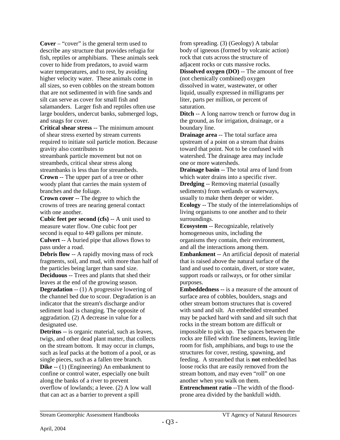**Cover** – "cover" is the general term used to describe any structure that provides refugia for fish, reptiles or amphibians. These animals seek cover to hide from predators, to avoid warm water temperatures, and to rest, by avoiding higher velocity water. These animals come in all sizes, so even cobbles on the stream bottom that are not sedimented in with fine sands and silt can serve as cover for small fish and salamanders. Larger fish and reptiles often use large boulders, undercut banks, submerged logs, and snags for cover.

**Critical shear stress** -- The minimum amount of shear stress exerted by stream currents required to initiate soil particle motion. Because gravity also contributes to

streambank particle movement but not on streambeds, critical shear stress along streambanks is less than for streambeds.

**Crown** -- The upper part of a tree or other woody plant that carries the main system of branches and the foliage.

**Crown cover** -- The degree to which the crowns of trees are nearing general contact with one another.

**Cubic feet per second (cfs)** -- A unit used to measure water flow. One cubic foot per second is equal to 449 gallons per minute. **Culvert** -- A buried pipe that allows flows to pass under a road.

**Debris flow** -- A rapidly moving mass of rock fragments, soil, and mud, with more than half of the particles being larger than sand size.

**Deciduous** -- Trees and plants that shed their leaves at the end of the growing season.

**Degradation** -- (1) A progressive lowering of the channel bed due to scour. Degradation is an indicator that the stream's discharge and/or sediment load is changing. The opposite of aggradation. (2) A decrease in value for a designated use.

**Detritus** -- is organic material, such as leaves, twigs, and other dead plant matter, that collects on the stream bottom. It may occur in clumps, such as leaf packs at the bottom of a pool, or as single pieces, such as a fallen tree branch. **Dike** -- (1) (Engineering) An embankment to confine or control water, especially one built along the banks of a river to prevent overflow of lowlands; a levee. (2) A low wall that can act as a barrier to prevent a spill

from spreading. (3) (Geology) A tabular body of igneous (formed by volcanic action) rock that cuts across the structure of adjacent rocks or cuts massive rocks.

**Dissolved oxygen (DO)** -- The amount of free (not chemically combined) oxygen dissolved in water, wastewater, or other liquid, usually expressed in milligrams per liter, parts per million, or percent of saturation.

**Ditch** -- A long narrow trench or furrow dug in the ground, as for irrigation, drainage, or a boundary line.

**Drainage area** -- The total surface area upstream of a point on a stream that drains toward that point. Not to be confused with watershed. The drainage area may include one or more watersheds.

**Drainage basin** -- The total area of land from which water drains into a specific river.

**Dredging** -- Removing material (usually sediments) from wetlands or waterways, usually to make them deeper or wider.

**Ecology** -- The study of the interrelationships of living organisms to one another and to their surroundings.

**Ecosystem** -- Recognizable, relatively homogeneous units, including the organisms they contain, their environment, and all the interactions among them.

**Embankment** -- An artificial deposit of material that is raised above the natural surface of the land and used to contain, divert, or store water, support roads or railways, or for other similar purposes.

**Embeddedness --** is a measure of the amount of surface area of cobbles, boulders, snags and other stream bottom structures that is covered with sand and silt. An embedded streambed may be packed hard with sand and silt such that rocks in the stream bottom are difficult or impossible to pick up. The spaces between the rocks are filled with fine sediments, leaving little room for fish, amphibians, and bugs to use the structures for cover, resting, spawning, and feeding. A streambed that is **not** embedded has loose rocks that are easily removed from the stream bottom, and may even "roll" on one another when you walk on them.

**Entrenchment ratio** --The width of the floodprone area divided by the bankfull width.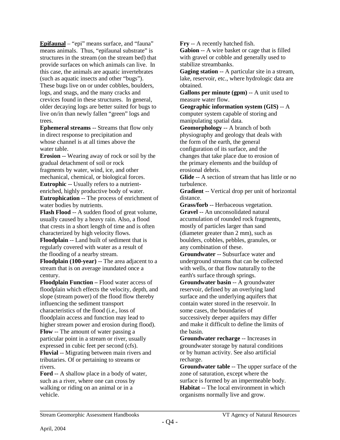**Epifaunal** – "epi" means surface, and "fauna" means animals. Thus, "epifaunal substrate" is structures in the stream (on the stream bed) that provide surfaces on which animals can live. In this case, the animals are aquatic invertebrates (such as aquatic insects and other "bugs"). These bugs live on or under cobbles, boulders, logs, and snags, and the many cracks and crevices found in these structures. In general, older decaying logs are better suited for bugs to live on/in than newly fallen "green" logs and trees.

**Ephemeral streams** -- Streams that flow only in direct response to precipitation and whose channel is at all times above the water table.

**Erosion** -- Wearing away of rock or soil by the gradual detachment of soil or rock fragments by water, wind, ice, and other mechanical, chemical, or biological forces. **Eutrophic** -- Usually refers to a nutrientenriched, highly productive body of water. **Eutrophication** -- The process of enrichment of water bodies by nutrients.

**Flash Flood** -- A sudden flood of great volume, usually caused by a heavy rain. Also, a flood that crests in a short length of time and is often characterized by high velocity flows.

**Floodplain** -- Land built of sediment that is regularly covered with water as a result of the flooding of a nearby stream.

**Floodplain (100-year)** -- The area adjacent to a stream that is on average inundated once a century.

**Floodplain Function –** Flood water access of floodplain which effects the velocity, depth, and slope (stream power) of the flood flow thereby influencing the sediment transport characteristics of the flood (i.e., loss of floodplain access and function may lead to higher stream power and erosion during flood). **Flow** -- The amount of water passing a particular point in a stream or river, usually expressed in cubic feet per second (cfs).

**Fluvial** -- Migrating between main rivers and tributaries. Of or pertaining to streams or rivers.

**Ford** -- A shallow place in a body of water, such as a river, where one can cross by walking or riding on an animal or in a vehicle.

**Fry** -- A recently hatched fish.

**Gabion** -- A wire basket or cage that is filled with gravel or cobble and generally used to stabilize streambanks.

**Gaging station** -- A particular site in a stream, lake, reservoir, etc., where hydrologic data are obtained.

**Gallons per minute (gpm)** -- A unit used to measure water flow.

**Geographic information system (GIS)** -- A computer system capable of storing and manipulating spatial data.

**Geomorphology** -- A branch of both physiography and geology that deals with the form of the earth, the general configuration of its surface, and the changes that take place due to erosion of the primary elements and the buildup of erosional debris.

**Glide** -- A section of stream that has little or no turbulence.

**Gradient** -- Vertical drop per unit of horizontal distance.

**Grass/forb** -- Herbaceous vegetation. **Gravel** -- An unconsolidated natural accumulation of rounded rock fragments, mostly of particles larger than sand (diameter greater than 2 mm), such as boulders, cobbles, pebbles, granules, or any combination of these.

**Groundwater** -- Subsurface water and underground streams that can be collected with wells, or that flow naturally to the earth's surface through springs.

**Groundwater basin** -- A groundwater reservoir, defined by an overlying land surface and the underlying aquifers that contain water stored in the reservoir. In some cases, the boundaries of successively deeper aquifers may differ and make it difficult to define the limits of the basin.

**Groundwater recharge** -- Increases in groundwater storage by natural conditions or by human activity. See also artificial recharge.

**Groundwater table** -- The upper surface of the zone of saturation, except where the surface is formed by an impermeable body. **Habitat** -- The local environment in which organisms normally live and grow.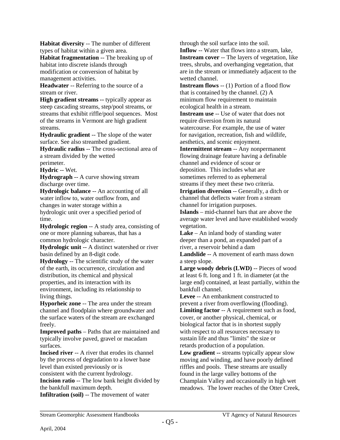**Habitat diversity** -- The number of different types of habitat within a given area.

**Habitat fragmentation** -- The breaking up of habitat into discrete islands through modification or conversion of habitat by management activities.

**Headwater** -- Referring to the source of a stream or river.

**High gradient streams --** typically appear as steep cascading streams, step/pool streams, or streams that exhibit riffle/pool sequences. Most of the streams in Vermont are high gradient streams.

**Hydraulic gradient** -- The slope of the water surface. See also streambed gradient.

**Hydraulic radius** -- The cross-sectional area of a stream divided by the wetted perimeter.

**Hydric** -- Wet.

**Hydrograph** -- A curve showing stream discharge over time.

**Hydrologic balance** -- An accounting of all water inflow to, water outflow from, and changes in water storage within a hydrologic unit over a specified period of time.

**Hydrologic region** -- A study area, consisting of one or more planning subareas, that has a common hydrologic character.

**Hydrologic unit** -- A distinct watershed or river basin defined by an 8-digit code.

**Hydrology** -- The scientific study of the water of the earth, its occurrence, circulation and distribution, its chemical and physical properties, and its interaction with its environment, including its relationship to living things.

**Hyporheic zone** -- The area under the stream channel and floodplain where groundwater and the surface waters of the stream are exchanged freely.

**Improved paths** – Paths that are maintained and typically involve paved, gravel or macadam surfaces.

**Incised river** -- A river that erodes its channel by the process of degradation to a lower base level than existed previously or is

consistent with the current hydrology.

**Incision ratio** -- The low bank height divided by the bankfull maximum depth.

**Infiltration (soil)** -- The movement of water

through the soil surface into the soil.

**Inflow** -- Water that flows into a stream, lake, **Instream cover** -- The layers of vegetation, like trees, shrubs, and overhanging vegetation, that are in the stream or immediately adjacent to the wetted channel.

**Instream flows** -- (1) Portion of a flood flow that is contained by the channel. (2) A minimum flow requirement to maintain ecological health in a stream.

**Instream use** -- Use of water that does not require diversion from its natural watercourse. For example, the use of water for navigation, recreation, fish and wildlife, aesthetics, and scenic enjoyment.

**Intermittent stream** -- Any nonpermanent flowing drainage feature having a definable channel and evidence of scour or deposition. This includes what are sometimes referred to as ephemeral streams if they meet these two criteria.

**Irrigation diversion** -- Generally, a ditch or channel that deflects water from a stream channel for irrigation purposes.

**Islands** – mid-channel bars that are above the average water level and have established woody vegetation.

**Lake** – An inland body of standing water deeper than a pond, an expanded part of a river, a reservoir behind a dam

**Landslide** -- A movement of earth mass down a steep slope.

Large woody debris (LWD) -- Pieces of wood at least 6 ft. long and 1 ft. in diameter (at the large end) contained, at least partially, within the bankfull channel.

**Levee** -- An embankment constructed to prevent a river from overflowing (flooding). **Limiting factor** -- A requirement such as food, cover, or another physical, chemical, or biological factor that is in shortest supply with respect to all resources necessary to sustain life and thus "limits" the size or retards production of a population.

**Low gradient --** streams typically appear slow moving and winding, and have poorly defined riffles and pools. These streams are usually found in the large valley bottoms of the Champlain Valley and occasionally in high wet meadows. The lower reaches of the Otter Creek,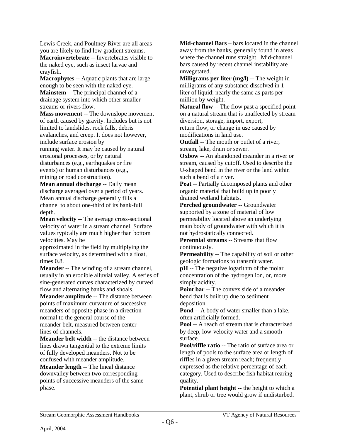Lewis Creek, and Poultney River are all areas you are likely to find low gradient streams.

**Macroinvertebrate** -- Invertebrates visible to the naked eye, such as insect larvae and crayfish.

**Macrophytes** -- Aquatic plants that are large enough to be seen with the naked eye. **Mainstem** -- The principal channel of a drainage system into which other smaller streams or rivers flow.

**Mass movement** -- The downslope movement of earth caused by gravity. Includes but is not limited to landslides, rock falls, debris avalanches, and creep. It does not however, include surface erosion by running water. It may be caused by natural erosional processes, or by natural disturbances (e.g., earthquakes or fire events) or human disturbances (e.g., mining or road construction).

**Mean annual discharge** -- Daily mean discharge averaged over a period of years. Mean annual discharge generally fills a channel to about one-third of its bank-full depth.

**Mean velocity** -- The average cross-sectional velocity of water in a stream channel. Surface values typically are much higher than bottom velocities. May be

approximated in the field by multiplying the surface velocity, as determined with a float, times 0.8.

**Meander** -- The winding of a stream channel, usually in an erodible alluvial valley. A series of sine-generated curves characterized by curved flow and alternating banks and shoals.

**Meander amplitude** -- The distance between points of maximum curvature of successive meanders of opposite phase in a direction normal to the general course of the meander belt, measured between center lines of channels.

**Meander belt width** -- the distance between lines drawn tangential to the extreme limits of fully developed meanders. Not to be confused with meander amplitude.

**Meander length** -- The lineal distance downvalley between two corresponding points of successive meanders of the same phase.

**Mid-channel Bars** – bars located in the channel away from the banks, generally found in areas where the channel runs straight. Mid-channel bars caused by recent channel instability are unvegetated.

**Milligrams per liter (mg/l)** -- The weight in milligrams of any substance dissolved in 1 liter of liquid; nearly the same as parts per million by weight.

**Natural flow** -- The flow past a specified point on a natural stream that is unaffected by stream diversion, storage, import, export, return flow, or change in use caused by modifications in land use.

**Outfall** -- The mouth or outlet of a river, stream, lake, drain or sewer.

**Oxbow** -- An abandoned meander in a river or stream, caused by cutoff. Used to describe the U-shaped bend in the river or the land within such a bend of a river.

**Peat** -- Partially decomposed plants and other organic material that build up in poorly drained wetland habitats.

**Perched groundwater -- Groundwater** supported by a zone of material of low permeability located above an underlying main body of groundwater with which it is not hydrostatically connected.

**Perennial streams** -- Streams that flow continuously.

**Permeability** -- The capability of soil or other geologic formations to transmit water.

**pH** -- The negative logarithm of the molar concentration of the hydrogen ion, or, more simply acidity.

**Point bar** -- The convex side of a meander bend that is built up due to sediment deposition.

**Pond** -- A body of water smaller than a lake, often artificially formed.

**Pool** -- A reach of stream that is characterized by deep, low-velocity water and a smooth surface.

Pool/riffle ratio -- The ratio of surface area or length of pools to the surface area or length of riffles in a given stream reach; frequently expressed as the relative percentage of each category. Used to describe fish habitat rearing quality.

**Potential plant height --** the height to which a plant, shrub or tree would grow if undisturbed.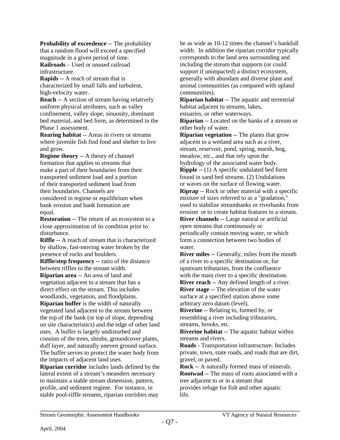**Probability of exceedence -- The probability** that a random flood will exceed a specified magnitude in a given period of time. **Railroads** – Used or unused railroad infrastructure.

**Rapids** -- A reach of stream that is characterized by small falls and turbulent, high-velocity water.

**Reach** -- A section of stream having relatively uniform physical attributes, such as valley confinement, valley slope, sinuosity, dominant bed material, and bed form, as determined in the Phase 1 assessment.

**Rearing habitat** -- Areas in rivers or streams where juvenile fish find food and shelter to live and grow.

**Regime theory** -- A theory of channel formation that applies to streams that make a part of their boundaries from their transported sediment load and a portion of their transported sediment load from their boundaries. Channels are considered in regime or equilibrium when bank erosion and bank formation are equal.

**Restoration** -- The return of an ecosystem to a close approximation of its condition prior to disturbance.

**Riffle** -- A reach of stream that is characterized by shallow, fast-moving water broken by the presence of rocks and boulders.

**Riffle/step frequency --** ratio of the distance between riffles to the stream width.

**Riparian area** -- An area of land and vegetation adjacent to a stream that has a direct effect on the stream. This includes woodlands, vegetation, and floodplains.

**Riparian buffer** is the width of naturally vegetated land adjacent to the stream between the top of the bank (or top of slope, depending on site characteristics) and the edge of other land uses. A buffer is largely undisturbed and consists of the trees, shrubs, groundcover plants, duff layer, and naturally uneven ground surface. The buffer serves to protect the water body from the impacts of adjacent land uses.

**Riparian corridor** includes lands defined by the lateral extent of a stream's meanders necessary to maintain a stable stream dimension, pattern, profile, and sediment regime. For instance, in stable pool-riffle streams, riparian corridors may

be as wide as 10-12 times the channel's bankfull width. In addition the riparian corridor typically corresponds to the land area surrounding and including the stream that supports (or could support if unimpacted) a distinct ecosystem, generally with abundant and diverse plant and animal communities (as compared with upland communities).

**Riparian habitat** -- The aquatic and terrestrial habitat adjacent to streams, lakes, estuaries, or other waterways.

**Riparian** -- Located on the banks of a stream or

other body of water.

**Riparian vegetation** -- The plants that grow adjacent to a wetland area such as a river, stream, reservoir, pond, spring, marsh, bog, meadow, etc., and that rely upon the hydrology of the associated water body.

**Ripple** -- (1) A specific undulated bed form found in sand bed streams. (2) Undulations or waves on the surface of flowing water.

**Riprap** -- Rock or other material with a specific mixture of sizes referred to as a "gradation," used to stabilize streambanks or riverbanks from erosion or to create habitat features in a stream. **River channels --** Large natural or artificial

open streams that continuously or periodically contain moving water, or which form a connection between two bodies of water.

**River miles --** Generally, miles from the mouth of a river to a specific destination or, for upstream tributaries, from the confluence with the main river to a specific destination.

**River reach** -- Any defined length of a river. **River stage** -- The elevation of the water surface at a specified station above some arbitrary zero datum (level).

**Riverine** -- Relating to, formed by, or resembling a river including tributaries, streams, brooks, etc.

**Riverine habitat** -- The aquatic habitat within streams and rivers.

**Roads -** Transportation infrastructure. Includes private, town, state roads, and roads that are dirt, gravel, or paved.

**Rock** -- A naturally formed mass of minerals. **Rootwad** -- The mass of roots associated with a tree adjacent to or in a stream that provides refuge for fish and other aquatic life.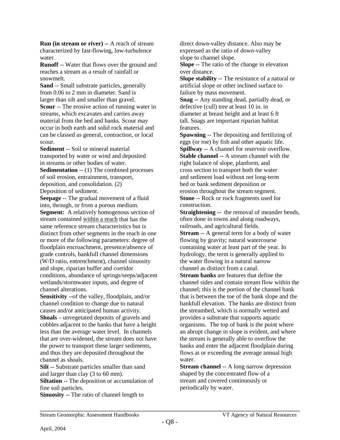**Run (in stream or river)** -- A reach of stream characterized by fast-flowing, low-turbulence water.

**Runoff** -- Water that flows over the ground and reaches a stream as a result of rainfall or snowmelt.

**Sand** -- Small substrate particles, generally from 0.06 to 2 mm in diameter. Sand is larger than silt and smaller than gravel. **Scour** -- The erosive action of running water in streams, which excavates and carries away material from the bed and banks. Scour may occur in both earth and solid rock material and can be classed as general, contraction, or local scour.

**Sediment** -- Soil or mineral material transported by water or wind and deposited in streams or other bodies of water.

**Sedimentation -- (1) The combined processes** of soil erosion, entrainment, transport, deposition, and consolidation. (2)

Deposition of sediment. **Seepage** -- The gradual movement of a fluid

into, through, or from a porous medium. **Segment:** A relatively homogenous section of stream contained within a reach that has the same reference stream characteristics but is distinct from other segments in the reach in one or more of the following parameters: degree of floodplain encroachment, presence/absence of grade controls, bankfull channel dimensions (W/D ratio, entrenchment), channel sinuosity and slope, riparian buffer and corridor conditions, abundance of springs/seeps/adjacent wetlands/stormwater inputs, and degree of channel alterations.

**Sensitivity** --of the valley, floodplain, and/or channel condition to change due to natural causes and/or anticipated human activity. **Shoals** – unvegetated deposits of gravels and cobbles adjacent to the banks that have a height less than the average water level. In channels that are over-widened, the stream does not have the power to transport these larger sediments, and thus they are deposited throughout the channel as shoals.

**Silt** -- Substrate particles smaller than sand and larger than clay (3 to 60 mm).

**Siltation** -- The deposition or accumulation of fine soil particles.

**Sinuosity** -- The ratio of channel length to

direct down-valley distance. Also may be expressed as the ratio of down-valley slope to channel slope.

**Slope** -- The ratio of the change in elevation over distance.

**Slope stability** -- The resistance of a natural or artificial slope or other inclined surface to failure by mass movement.

**Snag** -- Any standing dead, partially dead, or defective (cull) tree at least 10 in. in diameter at breast height and at least 6 ft tall. Snags are important riparian habitat features.

**Spawning** -- The depositing and fertilizing of eggs (or roe) by fish and other aquatic life. **Spillway** -- A channel for reservoir overflow. **Stable channel** -- A stream channel with the right balance of slope, planform, and cross section to transport both the water and sediment load without net long-term bed or bank sediment deposition or erosion throughout the stream segment. **Stone** -- Rock or rock fragments used for construction.

**Straightening --** the removal of meander bends, often done in towns and along roadways, railroads, and agricultural fields.

**Stream** -- A general term for a body of water flowing by gravity; natural watercourse containing water at least part of the year. In hydrology, the term is generally applied to the water flowing in a natural narrow channel as distinct from a canal.

**Stream banks** are features that define the channel sides and contain stream flow within the channel; this is the portion of the channel bank that is between the toe of the bank slope and the bankfull elevation. The banks are distinct from the streambed, which is normally wetted and provides a substrate that supports aquatic organisms. The top of bank is the point where an abrupt change in slope is evident, and where the stream is generally able to overflow the banks and enter the adjacent floodplain during flows at or exceeding the average annual high water.

**Stream channel** -- A long narrow depression shaped by the concentrated flow of a stream and covered continuously or periodically by water.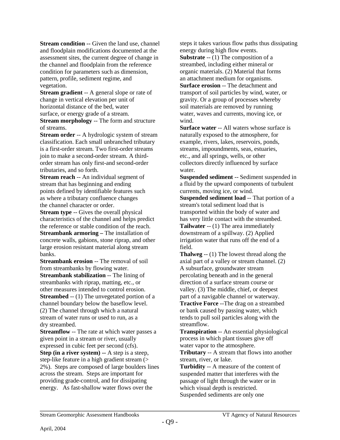**Stream condition --** Given the land use, channel and floodplain modifications documented at the assessment sites, the current degree of change in the channel and floodplain from the reference condition for parameters such as dimension, pattern, profile, sediment regime, and vegetation.

**Stream gradient** -- A general slope or rate of change in vertical elevation per unit of horizontal distance of the bed, water surface, or energy grade of a stream.

**Stream morphology** -- The form and structure of streams.

**Stream order** -- A hydrologic system of stream classification. Each small unbranched tributary is a first-order stream. Two first-order streams join to make a second-order stream. A thirdorder stream has only first-and second-order tributaries, and so forth.

**Stream reach** -- An individual segment of stream that has beginning and ending points defined by identifiable features such as where a tributary confluence changes the channel character or order.

**Stream type** -- Gives the overall physical characteristics of the channel and helps predict the reference or stable condition of the reach. **Streambank armoring –** The installation of concrete walls, gabions, stone riprap, and other large erosion resistant material along stream banks.

**Streambank erosion** -- The removal of soil from streambanks by flowing water.

**Streambank stabilization -- The lining of** streambanks with riprap, matting, etc., or other measures intended to control erosion. **Streambed** -- (1) The unvegetated portion of a

channel boundary below the baseflow level. (2) The channel through which a natural stream of water runs or used to run, as a dry streambed.

**Streamflow** -- The rate at which water passes a given point in a stream or river, usually expressed in cubic feet per second (cfs).

**Step (in a river system) --** A step is a steep, step-like feature in a high gradient stream (> 2%). Steps are composed of large boulders lines across the stream. Steps are important for providing grade-control, and for dissipating energy. As fast-shallow water flows over the

steps it takes various flow paths thus dissipating energy during high flow events.

**Substrate** -- (1) The composition of a streambed, including either mineral or organic materials. (2) Material that forms an attachment medium for organisms. **Surface erosion** -- The detachment and transport of soil particles by wind, water, or gravity. Or a group of processes whereby soil materials are removed by running water, waves and currents, moving ice, or wind.

**Surface water** -- All waters whose surface is naturally exposed to the atmosphere, for example, rivers, lakes, reservoirs, ponds, streams, impoundments, seas, estuaries, etc., and all springs, wells, or other collectors directly influenced by surface water.

**Suspended sediment** -- Sediment suspended in a fluid by the upward components of turbulent currents, moving ice, or wind.

**Suspended sediment load** -- That portion of a stream's total sediment load that is transported within the body of water and has very little contact with the streambed. **Tailwater** -- (1) The area immediately downstream of a spillway. (2) Applied irrigation water that runs off the end of a field.

**Thalweg** -- (1) The lowest thread along the axial part of a valley or stream channel. (2) A subsurface, groundwater stream percolating beneath and in the general direction of a surface stream course or valley. (3) The middle, chief, or deepest part of a navigable channel or waterway. **Tractive Force** --The drag on a streambed

or bank caused by passing water, which tends to pull soil particles along with the streamflow.

**Transpiration** -- An essential physiological process in which plant tissues give off water vapor to the atmosphere.

**Tributary** -- A stream that flows into another stream, river, or lake.

**Turbidity** -- A measure of the content of suspended matter that interferes with the passage of light through the water or in which visual depth is restricted. Suspended sediments are only one